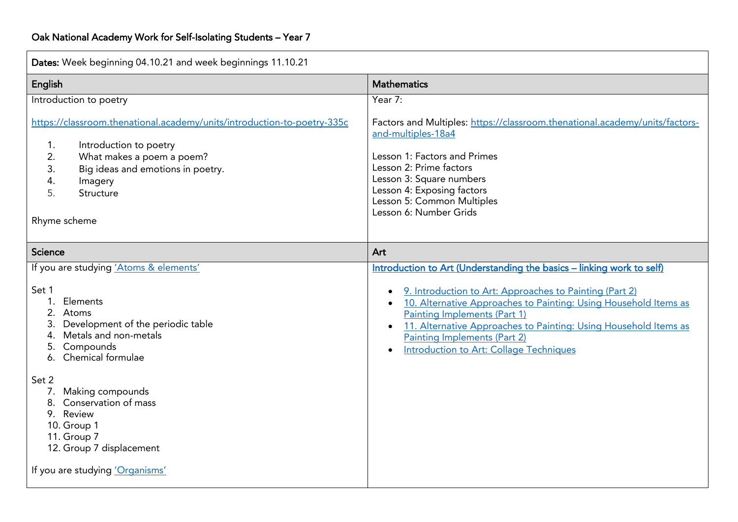| Dates: Week beginning 04.10.21 and week beginnings 11.10.21                                                                                                                                                                                                                                                                                                                   |                                                                                                                                                                                                                                                                                                                                                                                            |  |  |
|-------------------------------------------------------------------------------------------------------------------------------------------------------------------------------------------------------------------------------------------------------------------------------------------------------------------------------------------------------------------------------|--------------------------------------------------------------------------------------------------------------------------------------------------------------------------------------------------------------------------------------------------------------------------------------------------------------------------------------------------------------------------------------------|--|--|
| English                                                                                                                                                                                                                                                                                                                                                                       | <b>Mathematics</b>                                                                                                                                                                                                                                                                                                                                                                         |  |  |
| Introduction to poetry                                                                                                                                                                                                                                                                                                                                                        | Year 7:                                                                                                                                                                                                                                                                                                                                                                                    |  |  |
| https://classroom.thenational.academy/units/introduction-to-poetry-335c<br>Introduction to poetry<br>1.<br>2.<br>What makes a poem a poem?<br>3.<br>Big ideas and emotions in poetry.<br>4.<br>Imagery<br>5.<br>Structure<br>Rhyme scheme                                                                                                                                     | Factors and Multiples: https://classroom.thenational.academy/units/factors-<br>and-multiples-18a4<br>Lesson 1: Factors and Primes<br>Lesson 2: Prime factors<br>Lesson 3: Square numbers<br>Lesson 4: Exposing factors<br>Lesson 5: Common Multiples<br>Lesson 6: Number Grids                                                                                                             |  |  |
| <b>Science</b>                                                                                                                                                                                                                                                                                                                                                                | Art                                                                                                                                                                                                                                                                                                                                                                                        |  |  |
| If you are studying 'Atoms & elements'<br>Set 1<br>Elements<br>1.<br>2.<br>Atoms<br>Development of the periodic table<br>3.<br>Metals and non-metals<br>4.<br>Compounds<br>5.<br>6. Chemical formulae<br>Set 2<br>Making compounds<br>7.<br>8. Conservation of mass<br>9. Review<br>10. Group 1<br>11. Group 7<br>12. Group 7 displacement<br>If you are studying 'Organisms' | Introduction to Art (Understanding the basics - linking work to self)<br>9. Introduction to Art: Approaches to Painting (Part 2)<br>10. Alternative Approaches to Painting: Using Household Items as<br>Painting Implements (Part 1)<br>11. Alternative Approaches to Painting: Using Household Items as<br>Painting Implements (Part 2)<br><b>Introduction to Art: Collage Techniques</b> |  |  |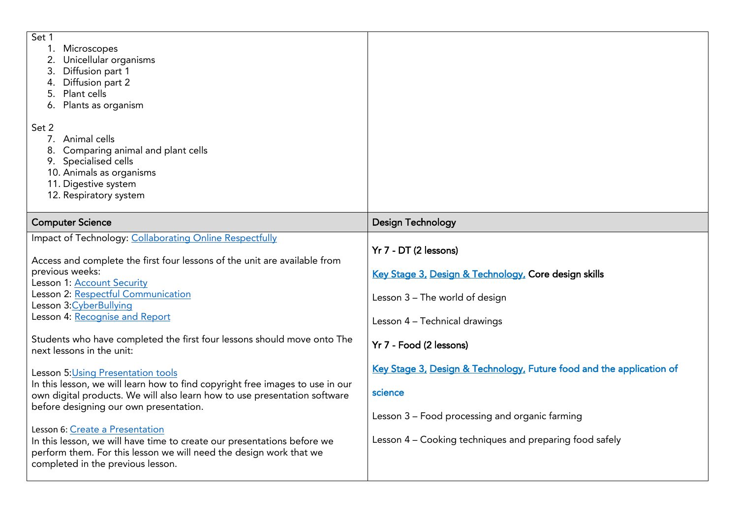| Set 1<br>Microscopes<br>Unicellular organisms<br>Diffusion part 1<br>3.<br>Diffusion part 2<br>Plant cells<br>5.<br>Plants as organism<br>6.<br>Set 2<br>7. Animal cells<br>Comparing animal and plant cells<br>8.<br>9. Specialised cells<br>10. Animals as organisms                    |                                                                                                                                                  |
|-------------------------------------------------------------------------------------------------------------------------------------------------------------------------------------------------------------------------------------------------------------------------------------------|--------------------------------------------------------------------------------------------------------------------------------------------------|
| 11. Digestive system<br>12. Respiratory system                                                                                                                                                                                                                                            |                                                                                                                                                  |
| <b>Computer Science</b>                                                                                                                                                                                                                                                                   | <b>Design Technology</b>                                                                                                                         |
| Impact of Technology: Collaborating Online Respectfully<br>Access and complete the first four lessons of the unit are available from<br>previous weeks:<br>Lesson 1: Account Security<br>Lesson 2: Respectful Communication<br>Lesson 3: Cyber Bullying<br>Lesson 4: Recognise and Report | Yr 7 - DT (2 lessons)<br>Key Stage 3, Design & Technology, Core design skills<br>Lesson 3 - The world of design<br>Lesson 4 - Technical drawings |
| Students who have completed the first four lessons should move onto The<br>next lessons in the unit:                                                                                                                                                                                      | Yr 7 - Food (2 lessons)                                                                                                                          |
| Lesson 5: Using Presentation tools<br>In this lesson, we will learn how to find copyright free images to use in our<br>own digital products. We will also learn how to use presentation software<br>before designing our own presentation.<br>Lesson 6: Create a Presentation             | Key Stage 3, Design & Technology, Future food and the application of<br>science<br>Lesson 3 - Food processing and organic farming                |
| In this lesson, we will have time to create our presentations before we<br>perform them. For this lesson we will need the design work that we<br>completed in the previous lesson.                                                                                                        | Lesson 4 - Cooking techniques and preparing food safely                                                                                          |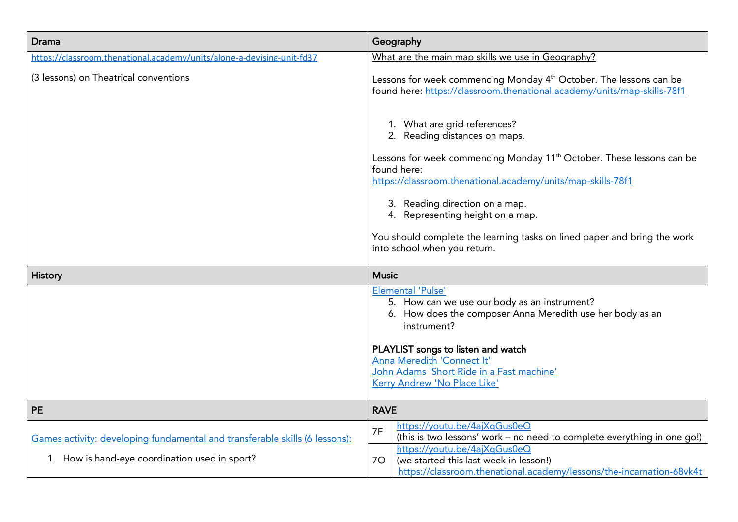| Drama                                                                       | Geography                                                                                                                                                                                  |  |  |
|-----------------------------------------------------------------------------|--------------------------------------------------------------------------------------------------------------------------------------------------------------------------------------------|--|--|
| https://classroom.thenational.academy/units/alone-a-devising-unit-fd37      | What are the main map skills we use in Geography?                                                                                                                                          |  |  |
| (3 lessons) on Theatrical conventions                                       | Lessons for week commencing Monday 4 <sup>th</sup> October. The lessons can be<br>found here: https://classroom.thenational.academy/units/map-skills-78f1                                  |  |  |
|                                                                             | 1. What are grid references?<br>2. Reading distances on maps.                                                                                                                              |  |  |
|                                                                             | Lessons for week commencing Monday 11 <sup>th</sup> October. These lessons can be<br>found here:<br>https://classroom.thenational.academy/units/map-skills-78f1                            |  |  |
|                                                                             | 3. Reading direction on a map.<br>4. Representing height on a map.                                                                                                                         |  |  |
|                                                                             | You should complete the learning tasks on lined paper and bring the work<br>into school when you return.                                                                                   |  |  |
| <b>History</b>                                                              | <b>Music</b>                                                                                                                                                                               |  |  |
|                                                                             | <b>Elemental 'Pulse'</b><br>5. How can we use our body as an instrument?<br>6. How does the composer Anna Meredith use her body as an<br>instrument?<br>PLAYLIST songs to listen and watch |  |  |
|                                                                             | Anna Meredith 'Connect It'<br>John Adams 'Short Ride in a Fast machine'<br>Kerry Andrew 'No Place Like'                                                                                    |  |  |
| <b>PE</b>                                                                   | <b>RAVE</b>                                                                                                                                                                                |  |  |
| Games activity: developing fundamental and transferable skills (6 lessons): | https://youtu.be/4ajXqGus0eQ<br>7F<br>(this is two lessons' work - no need to complete everything in one go!)                                                                              |  |  |
| 1. How is hand-eye coordination used in sport?                              | https://youtu.be/4ajXqGus0eQ<br>(we started this last week in lesson!)<br>70                                                                                                               |  |  |